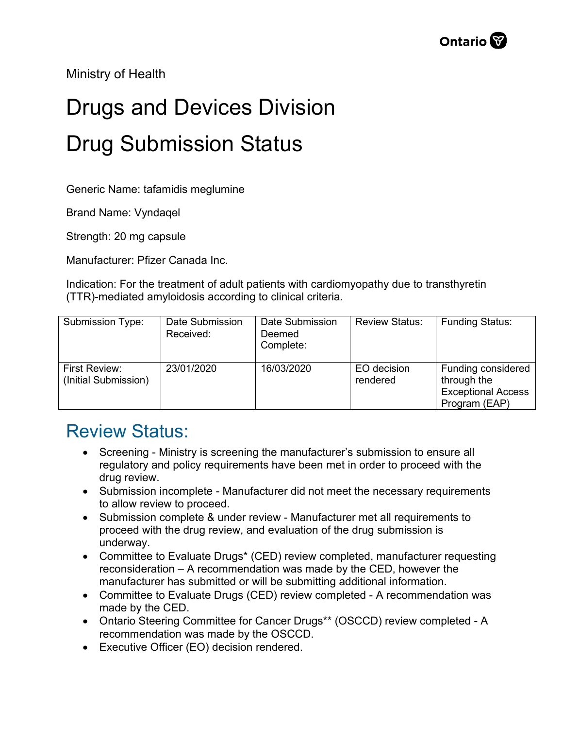Ministry of Health

## Drugs and Devices Division Drug Submission Status

Generic Name: tafamidis meglumine

Brand Name: Vyndaqel

Strength: 20 mg capsule

Manufacturer: Pfizer Canada Inc.

Indication: For the treatment of adult patients with cardiomyopathy due to transthyretin (TTR)-mediated amyloidosis according to clinical criteria.

| Submission Type:                      | Date Submission<br>Received: | Date Submission<br>Deemed<br>Complete: | <b>Review Status:</b>   | <b>Funding Status:</b>                                                          |
|---------------------------------------|------------------------------|----------------------------------------|-------------------------|---------------------------------------------------------------------------------|
| First Review:<br>(Initial Submission) | 23/01/2020                   | 16/03/2020                             | EO decision<br>rendered | Funding considered<br>through the<br><b>Exceptional Access</b><br>Program (EAP) |

## Review Status:

- Screening Ministry is screening the manufacturer's submission to ensure all regulatory and policy requirements have been met in order to proceed with the drug review.
- Submission incomplete Manufacturer did not meet the necessary requirements to allow review to proceed.
- Submission complete & under review Manufacturer met all requirements to proceed with the drug review, and evaluation of the drug submission is underway.
- Committee to Evaluate Drugs\* (CED) review completed, manufacturer requesting reconsideration – A recommendation was made by the CED, however the manufacturer has submitted or will be submitting additional information.
- Committee to Evaluate Drugs (CED) review completed A recommendation was made by the CED.
- Ontario Steering Committee for Cancer Drugs\*\* (OSCCD) review completed A recommendation was made by the OSCCD.
- Executive Officer (EO) decision rendered.